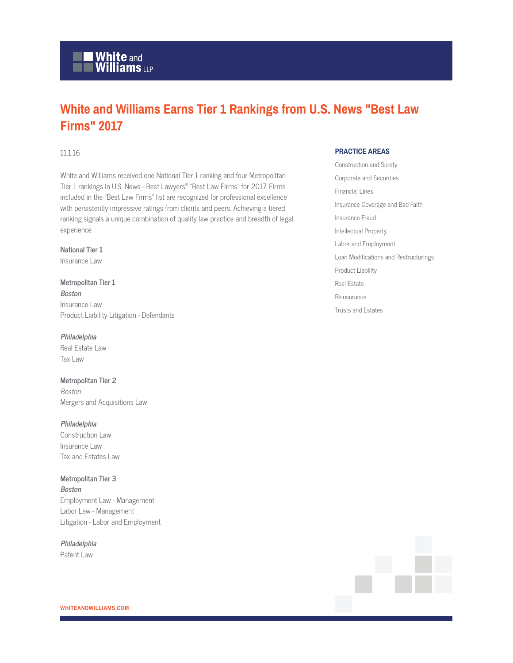# **Nhite** and<br>Williams LLP

## **White and Williams Earns Tier 1 Rankings from U.S. News "Best Law Firms" 2017**

#### 11.1.16

White and Williams received one National Tier 1 ranking and four Metropolitan Tier 1 rankings in U.S. News - Best Lawyers® "Best Law Firms" for 2017. Firms included in the "Best Law Firms" list are recognized for professional excellence with persistently impressive ratings from clients and peers. Achieving a tiered ranking signals a unique combination of quality law practice and breadth of legal experience.

**National Tier 1**  Insurance Law

**Metropolitan Tier 1 Boston** Insurance Law Product Liability Litigation - Defendants

#### **Philadelphia**

Real Estate Law Tax Law

**Metropolitan Tier 2** Boston Mergers and Acquisitions Law

#### **Philadelphia**

Construction Law Insurance Law Tax and Estates Law

### **Metropolitan Tier 3 Boston**

Employment Law - Management Labor Law - Management Litigation - Labor and Employment

**Philadelphia** Patent Law

#### **PRACTICE AREAS**

Construction and Surety Corporate and Securities Financial Lines Insurance Coverage and Bad Faith Insurance Fraud Intellectual Property Labor and Employment Loan Modifications and Restructurings Product Liability Real Estate Reinsurance Trusts and Estates